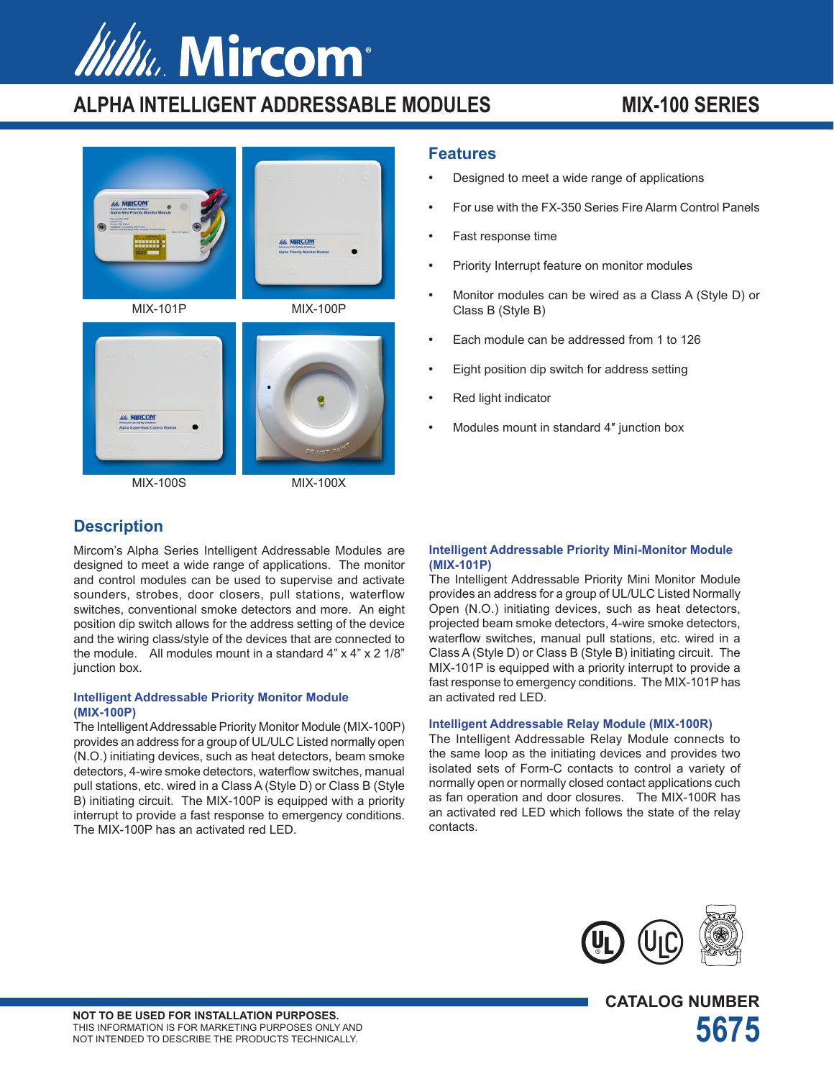# *MINA. Mircom®*

## **ALPHA INTELLIGENT ADDRESSABLE MODULES MIX-100 SERIES**







MIX-100S MIX-100X

#### **Features**

- Designed to meet a wide range of applications
- For use with the FX-350 Series Fire Alarm Control Panels
- Fast response time
- Priority Interrupt feature on monitor modules
- Monitor modules can be wired as a Class A (Style D) or Class B (Style B)
- Each module can be addressed from 1 to 126
- Eight position dip switch for address setting
- Red light indicator
- Modules mount in standard 4" junction box

#### **Description**

Mircom's Alpha Series Intelligent Addressable Modules are designed to meet a wide range of applications. The monitor and control modules can be used to supervise and activate sounders, strobes, door closers, pull stations, waterflow switches, conventional smoke detectors and more. An eight position dip switch allows for the address setting of the device and the wiring class/style of the devices that are connected to the module. All modules mount in a standard 4" x 4" x 2 1/8" junction box.

#### **Intelligent Addressable Priority Monitor Module (MIX-100P)**

The Intelligent Addressable Priority Monitor Module (MIX-100P) provides an address for a group of UL/ULC Listed normally open (N.O.) initiating devices, such as heat detectors, beam smoke detectors, 4-wire smoke detectors, waterflow switches, manual pull stations, etc. wired in a Class A (Style D) or Class B (Style B) initiating circuit. The MIX-100P is equipped with a priority interrupt to provide a fast response to emergency conditions. The MIX-100P has an activated red LED.

#### **Intelligent Addressable Priority Mini-Monitor Module (MIX-101P)**

The Intelligent Addressable Priority Mini Monitor Module provides an address for a group of UL/ULC Listed Normally Open (N.O.) initiating devices, such as heat detectors, projected beam smoke detectors, 4-wire smoke detectors, waterflow switches, manual pull stations, etc. wired in a Class A (Style D) or Class B (Style B) initiating circuit. The MIX-101P is equipped with a priority interrupt to provide a fast response to emergency conditions. The MIX-101P has an activated red LED.

#### **Intelligent Addressable Relay Module (MIX-100R)**

The Intelligent Addressable Relay Module connects to the same loop as the initiating devices and provides two isolated sets of Form-C contacts to control a variety of normally open or normally closed contact applications cuch as fan operation and door closures. The MIX-100R has an activated red LED which follows the state of the relay contacts.



**CATALOG NUMBER**